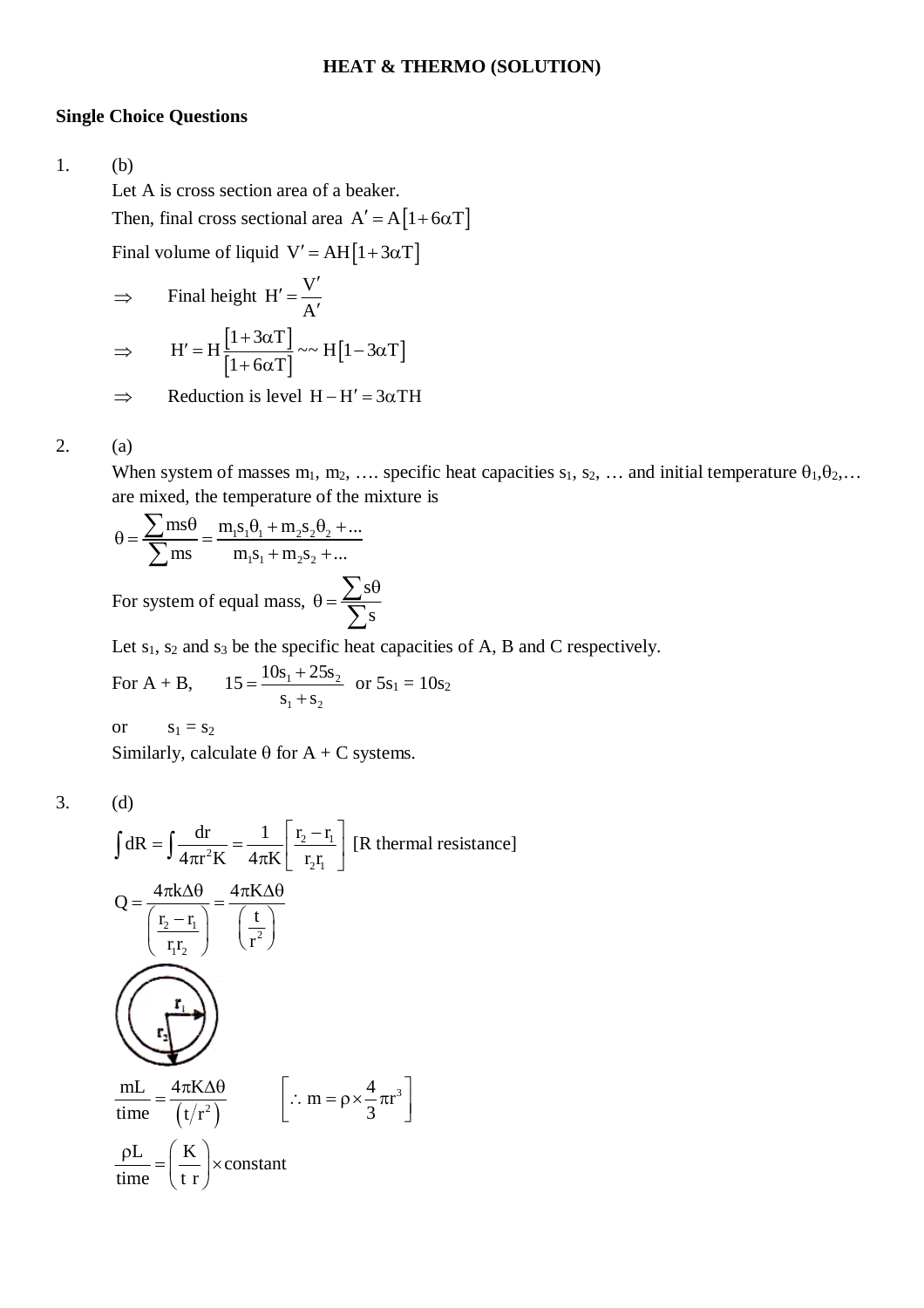### **HEAT & THERMO (SOLUTION)**

#### **Single Choice Questions**

1. (b)

Let A is cross section area of a beaker.

Then, final cross sectional area  $A' = A[1 + 6\alpha T]$ 

 $\sim$   $\sim$ 

Final volume of liquid  $V' = AH[1 + 3\alpha T]$ 

⇒ Find height H' = 
$$
\frac{V'}{A'}
$$
  
\n⇒ H' = H  $\frac{[1+3\alpha T]}{[1+6\alpha T]}$  ~ H [1-3 $\alpha$ T]

 $\Rightarrow$  Reduction is level H-H' = 3 $\alpha$ TH

#### 2. (a)

When system of masses  $m_1, m_2, \ldots$  specific heat capacities  $s_1, s_2, \ldots$  and initial temperature  $\theta_1, \theta_2, \ldots$ are mixed, the temperature of the mixture is

$$
\theta = \frac{\sum ms \theta}{\sum ms} = \frac{m_1 s_1 \theta_1 + m_2 s_2 \theta_2 + ...}{m_1 s_1 + m_2 s_2 + ...}
$$

For system of equal mass, s s  $\theta = \frac{\sum s\theta}{\sum s}$  $\sum$ 

Let  $s_1$ ,  $s_2$  and  $s_3$  be the specific heat capacities of A, B and C respectively.

For A + B, 
$$
15 = \frac{10s_1 + 25s_2}{s_1 + s_2}
$$
 or  $5s_1 = 10s_2$ 

or  $s_1 = s_2$ 

Similarly, calculate  $\theta$  for A + C systems.

$$
3. \qquad \qquad
$$

3. (d)

$$
\int dR = \int \frac{dr}{4\pi r^2 K} = \frac{1}{4\pi K} \left[ \frac{r_2 - r_1}{r_2 r_1} \right]
$$
 [R thermal resistance]  
\n
$$
Q = \frac{4\pi k \Delta \theta}{\left( \frac{r_2 - r_1}{r_1 r_2} \right)} = \frac{4\pi K \Delta \theta}{\left( \frac{t}{r^2} \right)}
$$
  
\n
$$
\frac{mL}{time} = \frac{4\pi K \Delta \theta}{\left( t/r^2 \right)}
$$
  $\left[ \therefore m = \rho \times \frac{4}{3} \pi r^3 \right]$   
\n
$$
\frac{\rho L}{time} = \left( \frac{K}{t r} \right) \times constant
$$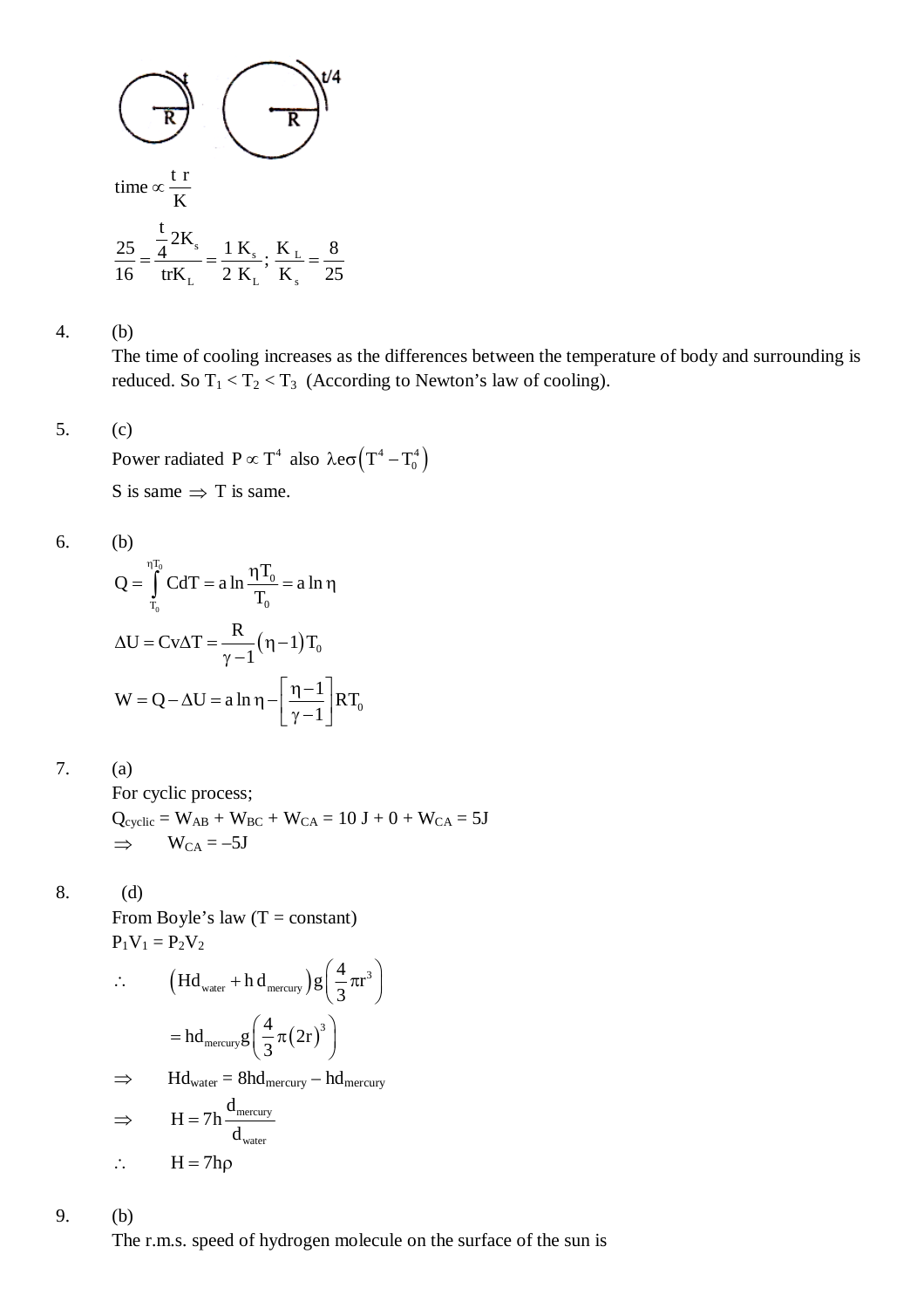

4. (b)

The time of cooling increases as the differences between the temperature of body and surrounding is reduced. So  $T_1 < T_2 < T_3$  (According to Newton's law of cooling).

### 5. (c)

Power radiated  $P \propto T^4$  also  $\lambda e \sigma (T^4 - T_0^4)$ S is same  $\Rightarrow$  T is same.

6. (b)

$$
Q = \int_{T_0}^{\eta T_0} C dT = a \ln \frac{\eta T_0}{T_0} = a \ln \eta
$$
  

$$
\Delta U = Cv \Delta T = \frac{R}{\gamma - 1} (\eta - 1) T_0
$$
  

$$
W = Q - \Delta U = a \ln \eta - \left[ \frac{\eta - 1}{\gamma - 1} \right] RT_0
$$

7. (a)

For cyclic process;  $Q_{cyclic} = W_{AB} + W_{BC} + W_{CA} = 10 J + 0 + W_{CA} = 5J$  $\Rightarrow$  W<sub>CA</sub> = -5J

$$
8. \hspace{15mm} (d)
$$

From Boyle's law  $(T = constant)$  $P_1V_1 = P_2V_2$ 

$$
\therefore \qquad \left(\text{Hd}_{\text{water}} + \text{h d}_{\text{mercury}}\right) g\left(\frac{4}{3}\pi r^3\right)
$$

$$
= \text{hd}_{\text{mercury}} g\left(\frac{4}{3}\pi (2r)^3\right)
$$

$$
\Rightarrow \quad \text{Hd}_{\text{water}} = 8 \text{hd}_{\text{mercury}} - \text{hd}_{\text{mercury}}
$$
\n
$$
\Rightarrow \quad \text{H} = 7 \text{h} \frac{\text{d}_{\text{mercury}}}{\text{d}_{\text{mercury}}}
$$

$$
\therefore H = 7h\rho
$$

9. (b)

The r.m.s. speed of hydrogen molecule on the surface of the sun is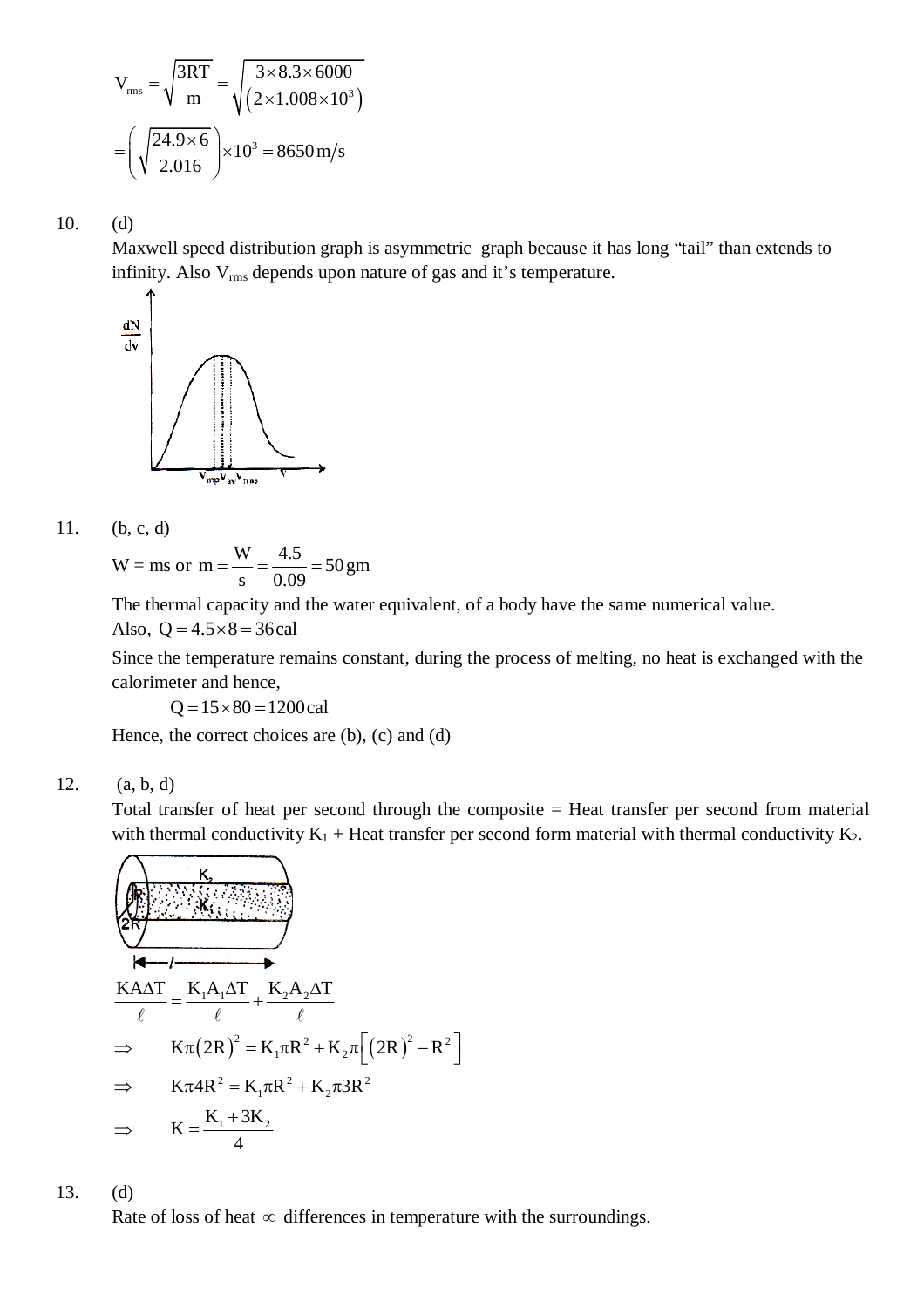$$
V_{\rm rms} = \sqrt{\frac{3RT}{m}} = \sqrt{\frac{3 \times 8.3 \times 6000}{(2 \times 1.008 \times 10^3)}}
$$

$$
= \left(\sqrt{\frac{24.9 \times 6}{2.016}}\right) \times 10^3 = 8650 \,\text{m/s}
$$

10. (d)

Maxwell speed distribution graph is asymmetric graph because it has long "tail" than extends to infinity. Also V<sub>rms</sub> depends upon nature of gas and it's temperature.



11. (b, c, d)

$$
W = ms or m = \frac{W}{s} = \frac{4.5}{0.09} = 50 gm
$$

The thermal capacity and the water equivalent, of a body have the same numerical value.

Also, 
$$
Q = 4.5 \times 8 = 36 \text{ cal}
$$

Since the temperature remains constant, during the process of melting, no heat is exchanged with the calorimeter and hence,

 $Q = 15 \times 80 = 1200$ cal

Hence, the correct choices are (b), (c) and (d)

12. (a, b, d)

Total transfer of heat per second through the composite = Heat transfer per second from material with thermal conductivity  $K_1$  + Heat transfer per second form material with thermal conductivity  $K_2$ .

$$
\begin{array}{ll}\n\left(\sqrt{\frac{K_{2}}{2R}}\right) & \frac{K_{2}}{2R_{2}} \\
\hline\n\ell & \ell\n\end{array}
$$
\n
$$
\Rightarrow K\pi (2R)^{2} = K_{1}\pi R^{2} + K_{2}\pi \left[ (2R)^{2} - R^{2} \right]
$$
\n
$$
\Rightarrow K\pi 4R^{2} = K_{1}\pi R^{2} + K_{2}\pi 3R^{2}
$$
\n
$$
\Rightarrow K = \frac{K_{1} + 3K_{2}}{4}
$$

13. (d)

Rate of loss of heat  $\infty$  differences in temperature with the surroundings.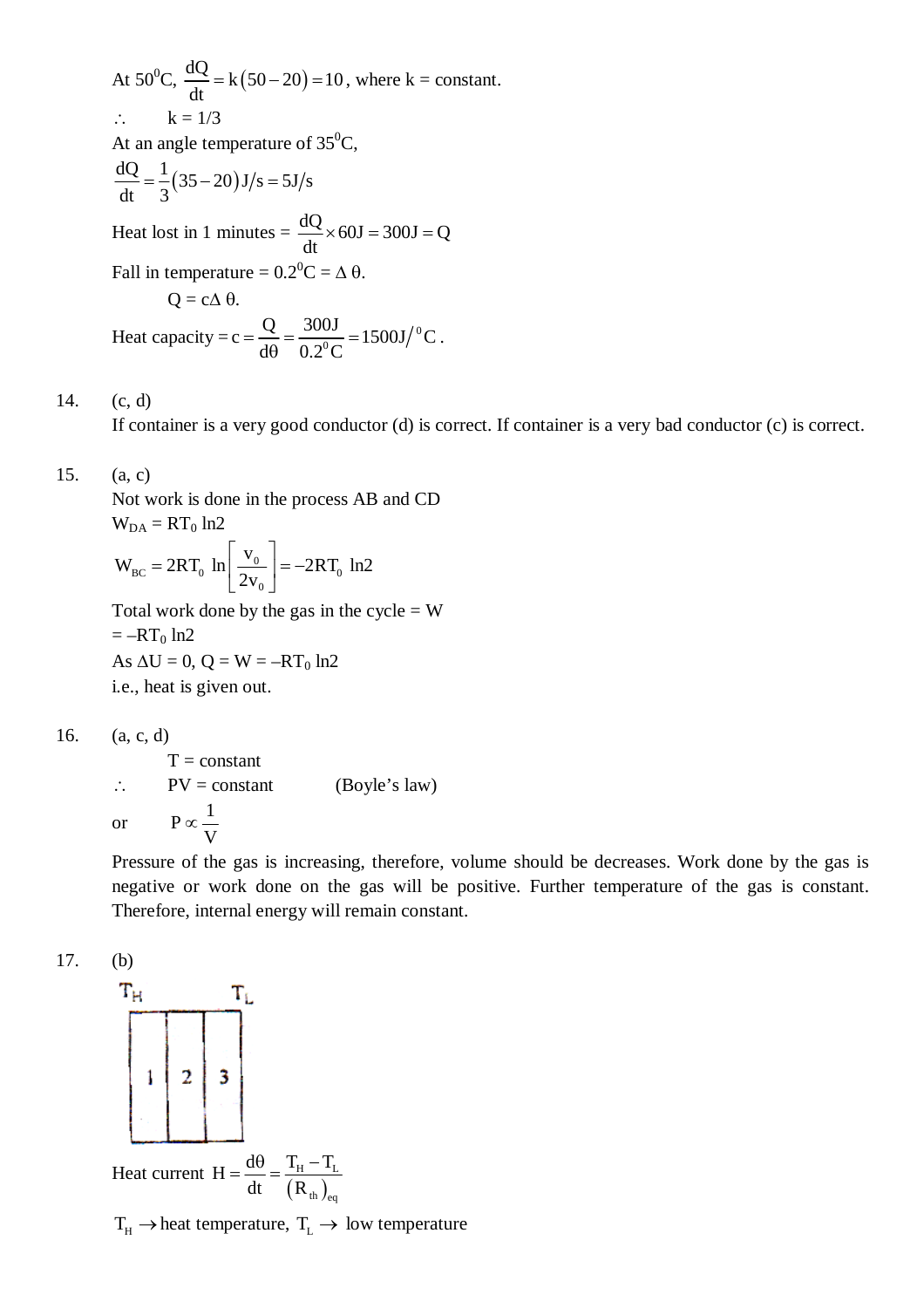At 50<sup>o</sup>C,  $\frac{dQ}{dt} = k(50 - 20) = 10$ dt  $=k(50-20) = 10$ , where  $k = constant$ .  $\therefore$   $k = 1/3$ At an angle temperature of  $35^0C$ ,  $\frac{dQ}{dt} = \frac{1}{2} (35 - 20) J/s = 5J/s$  $dt = 3$  $=\frac{1}{2}(35-20)J/s=5$ Heat lost in 1 minutes  $= \frac{dQ}{dx} \times 60J = 300J = Q$ dt  $\times 60J = 300J = 0$ Fall in temperature =  $0.2^0C = \Delta \theta$ .  $Q = c \Delta \theta$ . Heat capacity = c =  $\frac{Q}{d\rho} = \frac{300J}{\rho_0^0} = 1500J/{}^0C$  $d\theta$  0.2<sup>o</sup>C  $=\frac{8}{10}=\frac{5005}{0.20}=\frac{1}{10}$  $\theta$ .

# 14. (c, d)

If container is a very good conductor (d) is correct. If container is a very bad conductor (c) is correct.

## 15. (a, c)

Not work is done in the process AB and CD  $W_{DA} = RT_0 ln2$ 

$$
W_{BC} = 2RT_0 \ln \left[ \frac{v_0}{2v_0} \right] = -2RT_0 \ln 2
$$

Total work done by the gas in the cycle  $= W$  $=-RT_0 \ln 2$ As  $\Delta U = 0$ ,  $Q = W = -RT_0 \ln 2$ i.e., heat is given out.

$$
16. \qquad (a, c, d)
$$

 $T = constant$  $\therefore$  PV = constant (Boyle's law) or  $P \propto \frac{1}{1}$ V  $\infty$ 

Pressure of the gas is increasing, therefore, volume should be decreases. Work done by the gas is negative or work done on the gas will be positive. Further temperature of the gas is constant. Therefore, internal energy will remain constant.





 $T_H \rightarrow$  heat temperature,  $T_L \rightarrow$  low temperature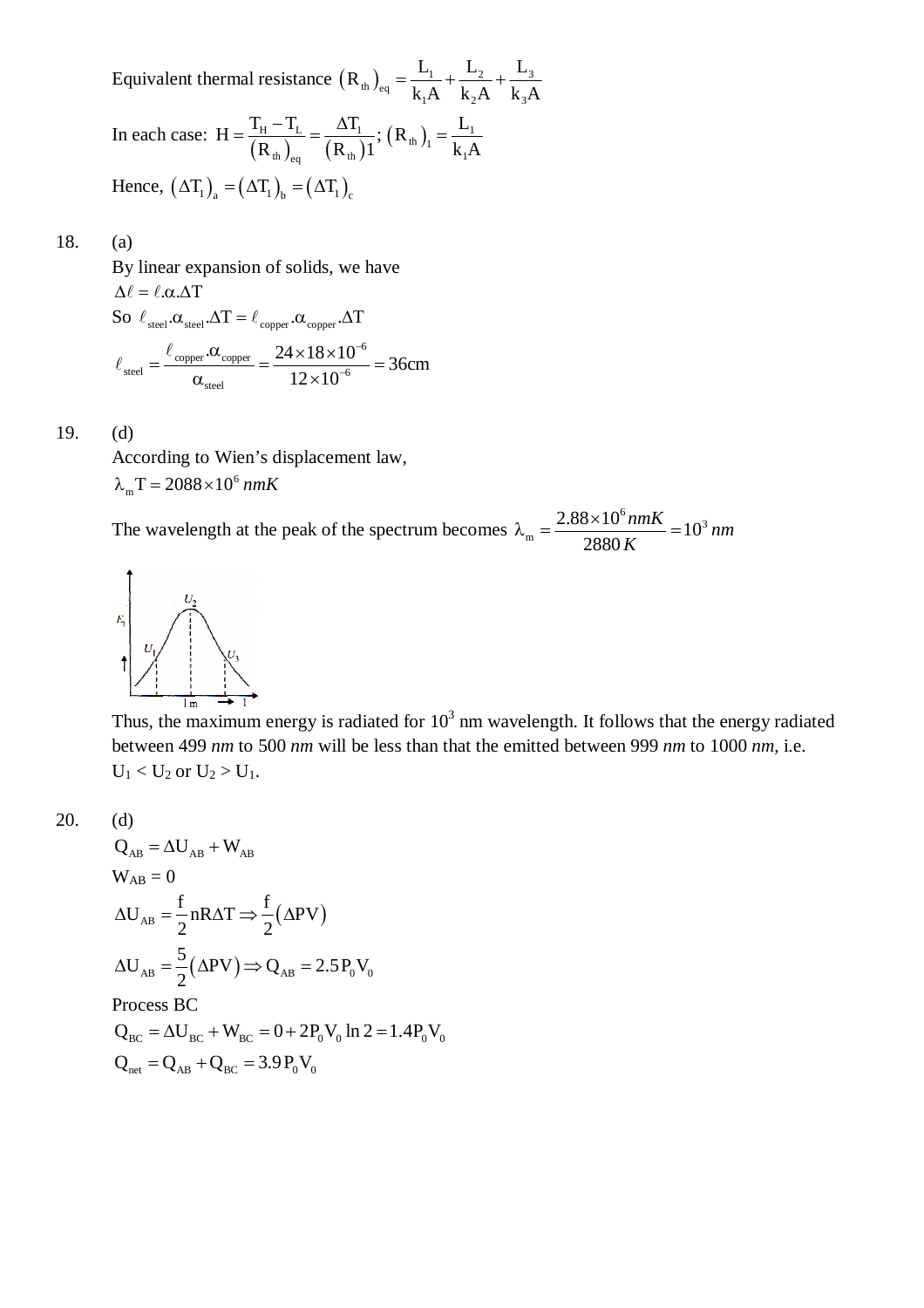Equivalent thermal resistance  $(R_{th})_{eq} = \frac{E_1}{k_1 A} + \frac{E_2}{k_2 A} + \frac{E_3}{k_3 A}$  $R_{th}$ <sub>e</sub> =  $\frac{L_1}{l_1 + l_2} + \frac{L_2}{l_2 + l_1} + \frac{L_1}{l_1 + l_2}$  $k_1A$   $k_2A$   $k_3A$  $=\frac{L_1}{1}+\frac{L_2}{1}+$ In each case:  $H = \frac{R_H - R_L}{(R_{th})_{eq}} = \frac{\Delta R_I}{(R_{th})_1}; (R_{th})_1 = \frac{L_I}{k_I A}$ th  $\int_{\text{eq}}$   $(\mathbf{R}_t)^T$   $\mathbf{R}_1$  $H = \frac{T_{\rm H} - T_{\rm L}}{(T_{\rm H})^2} = \frac{\Delta T_{\rm L}}{(T_{\rm H})^2}$ ;  $(R_{\rm th})_{\rm L} = \frac{L_{\rm L}}{T_{\rm L}}$  $R_{\text{th}}_{\text{eq}}$   $(R_{\text{th}})1$   $(R_{\text{H}})1$   $R_{\text{1}}A$  $=\frac{T_{\rm H}-T_{\rm L}}{T_{\rm H}}=\frac{\Delta T_{\rm L}}{T_{\rm H}}$ ;  $(R_{\rm th})_{\rm L}=\frac{1}{T_{\rm H}}$ Hence,  $(\Delta T_1)$ <sub>2</sub> =  $(\Delta T_1)$ <sub>1</sub> =  $(\Delta T_1)$ <sub>2</sub>

#### 18. (a)

By linear expansion of solids, we have  $\Delta \ell = \ell \cdot \alpha \cdot \Delta T$ So  $\ell_{\text{steel}}.\alpha_{\text{steel}}.\Delta T = \ell_{\text{corner}}.\alpha_{\text{corner}}.\Delta T$  $\rm{_{copper}}$  .  $\alpha_{\rm{copper}}=24\times18\times10^{-6}$ steel  $\sim$  12  $\times$  10<sup>-6</sup> steel  $\frac{.00\text{copper}}{.00\text{copper}} = \frac{24 \times 18 \times 10^{-6}}{.00\text{c}} = 36 \text{cm}$  $12 \times 10$ -- $=\frac{\ell_{\text{copper}}.\alpha_{\text{copper}}}{\sqrt{2}} = \frac{24 \times 18 \times 10^{-6}}{12 \times 10^{-6}} = 3$  $\alpha_{\text{steel}}$  12 × 1  $\ell$  $\ell$ 

#### 19. (d)

According to Wien's displacement law,  $\lambda_{\rm m} T = 2088 \times 10^6 \text{ nmK}$ 

The wavelength at the peak of the spectrum becomes  $\int^6$ nmK  $\frac{1}{2}$ 10<sup>3</sup>  $m = \frac{2.88 \times 10^6 \text{nmK}}{2880 \text{ K}} = 10$ 2880  $\lambda_{\rm m} = \frac{2.88 \times 10^6 \text{nmK}}{2000 \text{ K}} = 10^3 \text{ nm}$ *K*



Thus, the maximum energy is radiated for  $10<sup>3</sup>$  nm wavelength. It follows that the energy radiated between 499 *nm* to 500 *nm* will be less than that the emitted between 999 *nm* to 1000 *nm*, i.e.  $U_1 < U_2$  or  $U_2 > U_1$ .

 $(d)$ 

$$
Q_{AB} = \Delta U_{AB} + W_{AB}
$$
  
\n
$$
W_{AB} = 0
$$
  
\n
$$
\Delta U_{AB} = \frac{f}{2} nR\Delta T \Rightarrow \frac{f}{2} (\Delta PV)
$$
  
\n
$$
\Delta U_{AB} = \frac{5}{2} (\Delta PV) \Rightarrow Q_{AB} = 2.5 P_0 V_0
$$
  
\nProcess BC  
\n
$$
Q_{BC} = \Delta U_{BC} + W_{BC} = 0 + 2P_0 V_0 \ln 2 = 1.4 P_0 V_0
$$
  
\n
$$
Q_{net} = Q_{AB} + Q_{BC} = 3.9 P_0 V_0
$$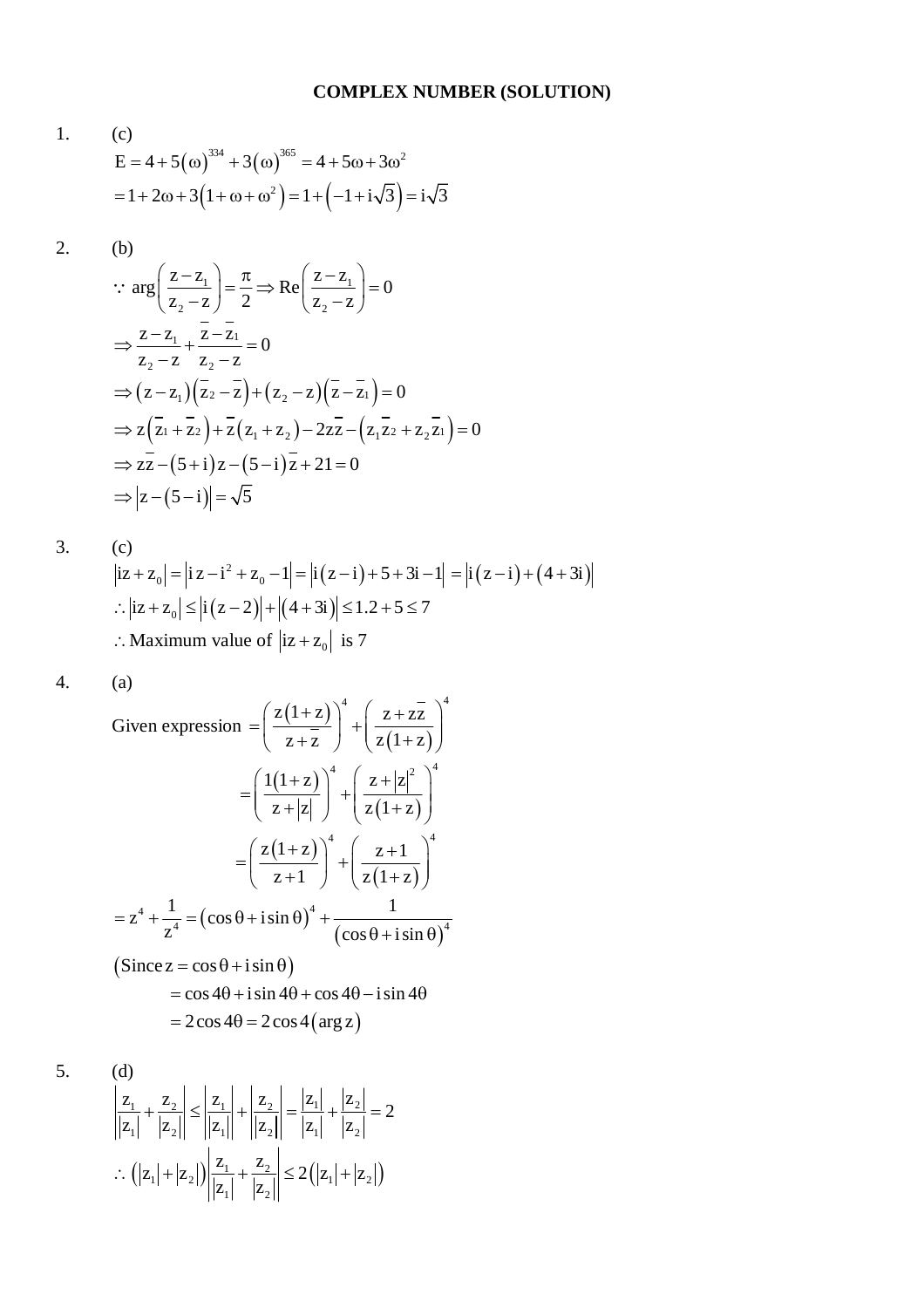1. (c)  
\n
$$
E = 4 + 5(\omega)^{334} + 3(\omega)^{365} = 4 + 5\omega + 3\omega^2
$$
\n
$$
= 1 + 2\omega + 3(1 + \omega + \omega^2) = 1 + (-1 + i\sqrt{3}) = i\sqrt{3}
$$

$$
2. \qquad \text{(b)}
$$

$$
\therefore \arg\left(\frac{z-z_1}{z_2-z}\right) = \frac{\pi}{2} \Rightarrow \text{Re}\left(\frac{z-z_1}{z_2-z}\right) = 0
$$
\n
$$
\Rightarrow \frac{z-z_1}{z_2-z} + \frac{\overline{z-z_1}}{z_2-z} = 0
$$
\n
$$
\Rightarrow (z-z_1)(\overline{z_2-z}) + (z_2-z)(\overline{z-z_1}) = 0
$$
\n
$$
\Rightarrow z(\overline{z_1} + \overline{z_2}) + \overline{z}(z_1 + z_2) - 2z\overline{z} - (z_1\overline{z_2} + z_2\overline{z_1}) = 0
$$
\n
$$
\Rightarrow zz - (5+i)z - (5-i)\overline{z} + 21 = 0
$$
\n
$$
\Rightarrow |z - (5-i)| = \sqrt{5}
$$

3. (c)  
\n
$$
|iz + z_0| = |iz - i^2 + z_0 - 1| = |i(z - i) + 5 + 3i - 1| = |i(z - i) + (4 + 3i)|
$$
  
\n∴  $|iz + z_0| \le |i(z - 2)| + |(4 + 3i)| \le 1.2 + 5 \le 7$   
\n∴ Maximum value of  $|iz + z_0|$  is 7

 $\overline{4}$ .  $(a)$ 

Given expression 
$$
= \left(\frac{z(1+z)}{z+\overline{z}}\right)^4 + \left(\frac{z+\overline{z}}{z(1+z)}\right)^4
$$

$$
= \left(\frac{1(1+z)}{z+|z|}\right)^4 + \left(\frac{z+|z|^2}{z(1+z)}\right)^4
$$

$$
= \left(\frac{z(1+z)}{z+1}\right)^4 + \left(\frac{z+1}{z(1+z)}\right)^4
$$

$$
= z^4 + \frac{1}{z^4} = \left(\cos\theta + i\sin\theta\right)^4 + \frac{1}{\left(\cos\theta + i\sin\theta\right)^4}
$$

$$
\left(\text{Since } z = \cos\theta + i\sin\theta\right)
$$

$$
= \cos 4\theta + i\sin 4\theta + \cos 4\theta - i\sin 4\theta
$$

5.

(d)  
\n
$$
\left| \frac{z_1}{|z_1|} + \frac{z_2}{|z_2|} \right| \le \left| \frac{z_1}{|z_1|} \right| + \left| \frac{z_2}{|z_2|} \right| = \frac{|z_1|}{|z_1|} + \frac{|z_2|}{|z_2|} = 2
$$
\n
$$
\therefore \left( |z_1| + |z_2| \right) \left| \frac{z_1}{|z_1|} + \frac{z_2}{|z_2|} \right| \le 2\left( |z_1| + |z_2| \right)
$$

 $= 2\cos 4\theta = 2\cos 4(\arg z)$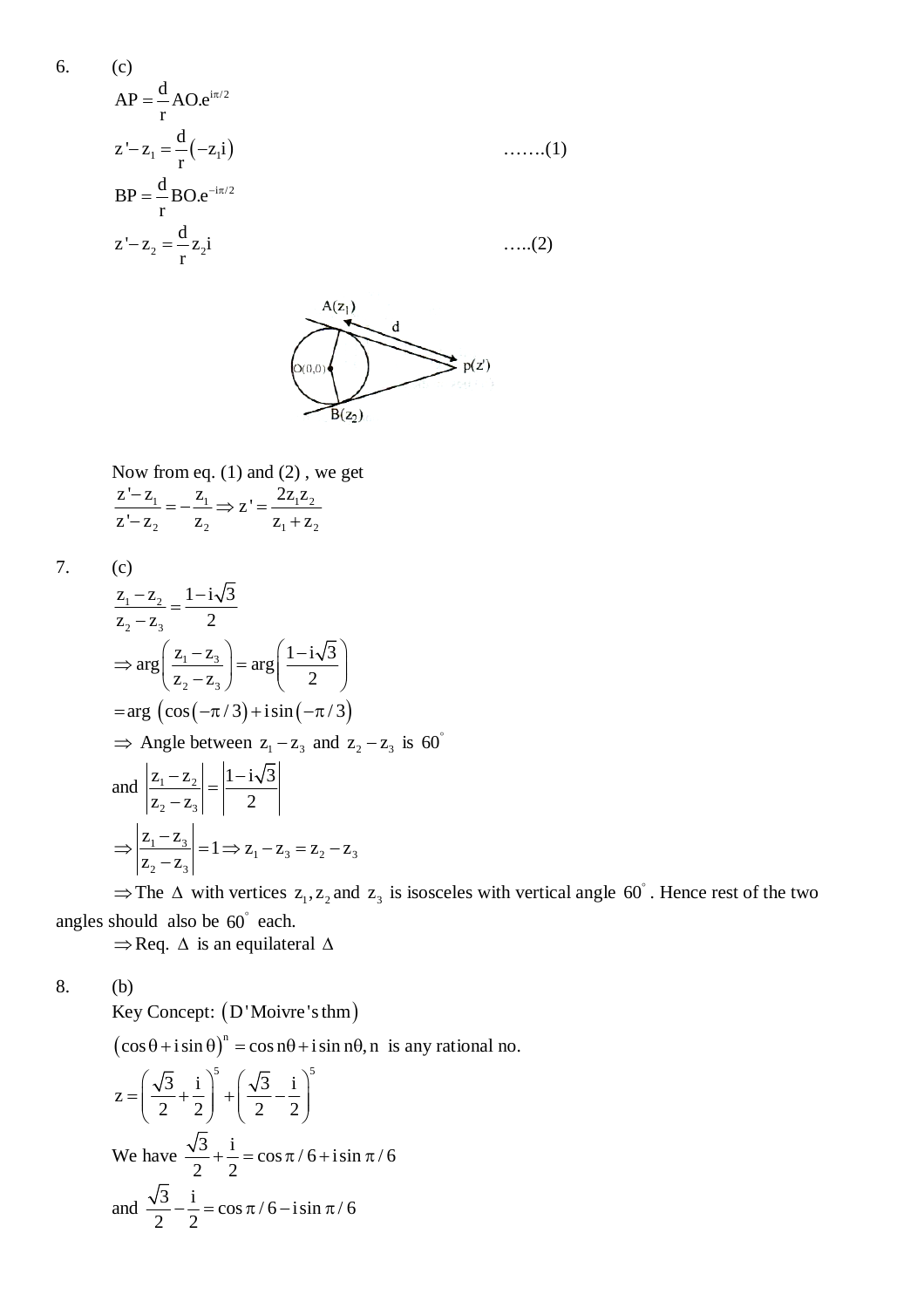6. (c)  
\n
$$
AP = \frac{d}{r} AO.e^{i\pi/2}
$$
  
\n $z'-z_1 = \frac{d}{r}(-z_1i)$  ......(1)  
\n $BP = \frac{d}{r} BO.e^{-i\pi/2}$   
\n $z'-z_2 = \frac{d}{r}z_2i$  ......(2)



Now from eq. (1) and (2) , we get  $\frac{1}{1}$  –  $\frac{2}{1}$   $\rightarrow$  7' –  $\frac{221}{12}$ 2  $2 \t 2 \t 2 \t 1 \t 2 \t 2$  $\frac{z'-z_1}{z'}=-\frac{z_1}{z'}\Rightarrow z'=\frac{2z_1z_2}{z'}$  $z - z_2$   $z_2$   $z_1 + z_2$  $\frac{-z_1}{z_1} = -\frac{z_1}{z_1} \Rightarrow z' = -z_2$   $z_2$   $z_1 + z_2$ 

7. (c)

$$
\frac{z_1 - z_2}{z_2 - z_3} = \frac{1 - i\sqrt{3}}{2}
$$
\n
$$
\Rightarrow \arg\left(\frac{z_1 - z_3}{z_2 - z_3}\right) = \arg\left(\frac{1 - i\sqrt{3}}{2}\right)
$$
\n
$$
= \arg\left(\cos(-\pi/3) + i\sin(-\pi/3)\right)
$$
\n
$$
\Rightarrow \text{Angle between } z_1 - z_3 \text{ and } z_2 - z_3 \text{ is } 60^\circ
$$
\n
$$
\text{and } \left|\frac{z_1 - z_2}{z_2 - z_3}\right| = \left|\frac{1 - i\sqrt{3}}{2}\right|
$$
\n
$$
\Rightarrow \left|\frac{z_1 - z_3}{z_2 - z_3}\right| = 1 \Rightarrow z_1 - z_3 = z_2 - z_3
$$
\n
$$
\Rightarrow \text{The A with vertices } z_1, z_2 \text{ and } z_3 \text{ is } \text{isom} z.
$$

 $\Rightarrow$  The  $\triangle$  with vertices  $z_1, z_2$  and  $z_3$  is isosceles with vertical angle 60°. Hence rest of the two angles should also be 60° each.

 $\Rightarrow$ Req.  $\Delta$  is an equilateral  $\Delta$ 

8. (b)

Key Concept: (D'Moivre's thm)

 $(\cos \theta + i \sin \theta)^n = \cos n\theta + i \sin n\theta$ , n is any rational no.

$$
z = \left(\frac{\sqrt{3}}{2} + \frac{i}{2}\right)^5 + \left(\frac{\sqrt{3}}{2} - \frac{i}{2}\right)^5
$$
  
We have  $\frac{\sqrt{3}}{2} + \frac{i}{2} = \cos \pi / 6 + i \sin \pi / 6$   
and  $\frac{\sqrt{3}}{2} - \frac{i}{2} = \cos \pi / 6 - i \sin \pi / 6$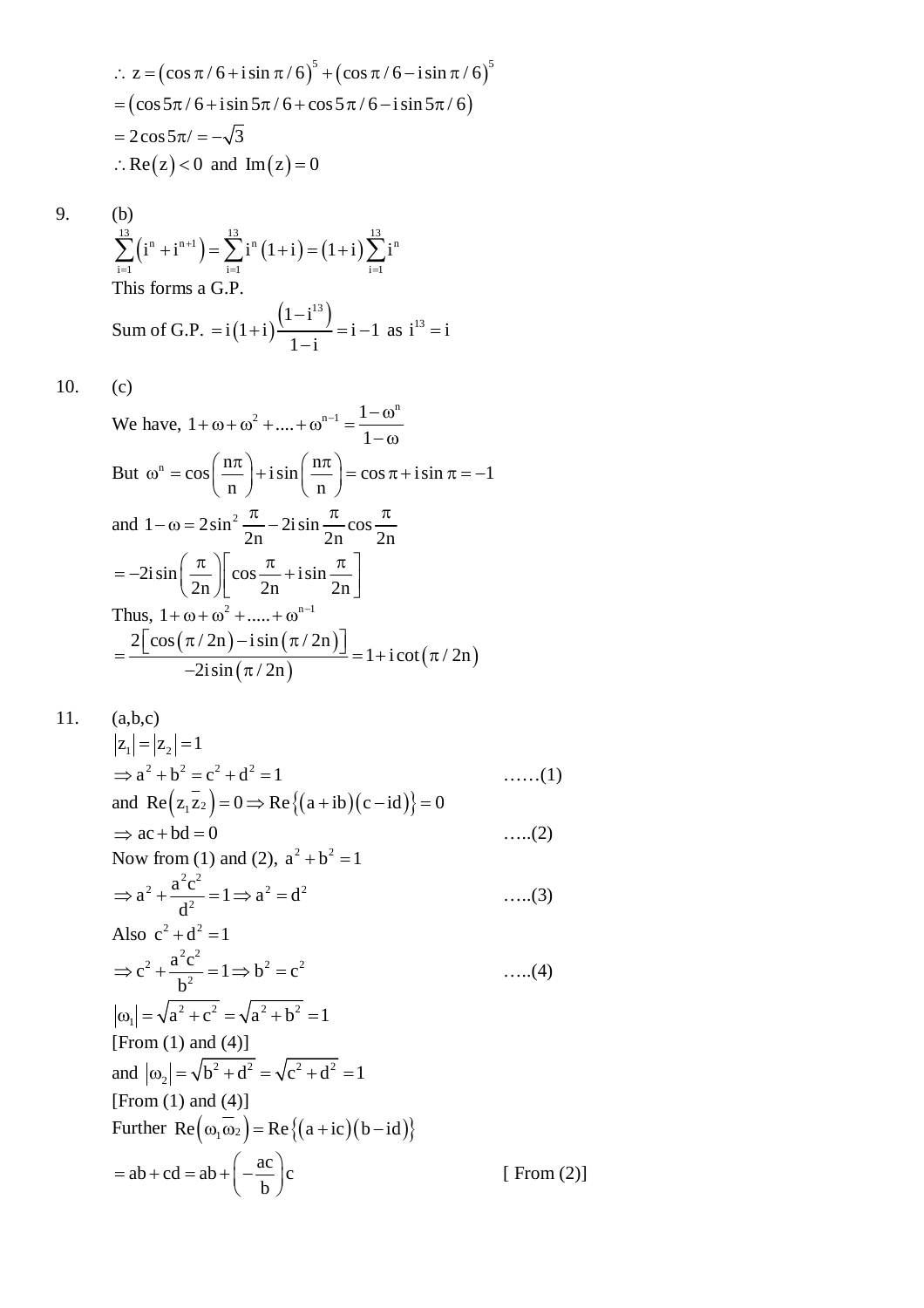$$
\therefore z = (\cos \pi / 6 + i \sin \pi / 6)^5 + (\cos \pi / 6 - i \sin \pi / 6)^5
$$
  
= (cos 5π / 6 + i sin 5π / 6 + cos 5π / 6 - i sin 5π / 6)  
= 2 cos 5π / = -√3  
∴ Re(z) < 0 and Im(z) = 0

9. (b)  

$$
\sum_{i=1}^{13} \left(i^{n} + i^{n+1}\right) =
$$
This forms a (

(b)  
\n
$$
\sum_{i=1}^{13} (i^{n} + i^{n+1}) = \sum_{i=1}^{13} i^{n} (1+i) = (1+i) \sum_{i=1}^{13} i^{n}
$$
\nThis forms a G.P.  
\nSum of G.P. =  $i(1+i) \frac{(1-i^{13})}{1-i} = i-1$  as  $i^{13} = i$ 

 $10.$  $(c)$ 

We have, 
$$
1 + \omega + \omega^2 + \dots + \omega^{n-1} = \frac{1 - \omega^n}{1 - \omega}
$$
  
\nBut  $\omega^n = \cos\left(\frac{n\pi}{n}\right) + i\sin\left(\frac{n\pi}{n}\right) = \cos\pi + i\sin\pi = -1$   
\nand  $1 - \omega = 2\sin^2\frac{\pi}{2n} - 2i\sin\frac{\pi}{2n}\cos\frac{\pi}{2n}$   
\n $= -2i\sin\left(\frac{\pi}{2n}\right)\left[\cos\frac{\pi}{2n} + i\sin\frac{\pi}{2n}\right]$   
\nThus,  $1 + \omega + \omega^2 + \dots + \omega^{n-1}$   
\n $= \frac{2\left[\cos(\pi/2n) - i\sin(\pi/2n)\right]}{-2i\sin(\pi/2n)} = 1 + i\cot(\pi/2n)$ 

11. 
$$
(a,b,c)
$$

$$
|z_1| = |z_2| = 1
$$
  
\n
$$
\Rightarrow a^2 + b^2 = c^2 + d^2 = 1
$$
 ....(1)  
\nand Re  $(z_1 \overline{z_2}) = 0 \Rightarrow$  Re  $\{(a+ib)(c-id)\}=0$   
\n
$$
\Rightarrow ac + bd = 0
$$
 ....(2)  
\nNow from (1) and (2),  $a^2 + b^2 = 1$ 

$$
\Rightarrow a^2 + \frac{a^2 c^2}{d^2} = 1 \Rightarrow a^2 = d^2 \qquad \qquad \dots (3)
$$
  
Also  $c^2 + d^2 = 1$ 

$$
\Rightarrow c^{2} + \frac{a^{2}c^{2}}{b^{2}} = 1 \Rightarrow b^{2} = c^{2}
$$
 ....(4)  

$$
|\omega_{1}| = \sqrt{a^{2} + c^{2}} = \sqrt{a^{2} + b^{2}} = 1
$$

[From (1) and (4)]  
\nand 
$$
|\omega_2| = \sqrt{b^2 + d^2} = \sqrt{c^2 + d^2} = 1
$$
  
\n[From (1) and (4)]  
\nFurther  $Re(\omega_1 \overline{\omega_2}) = Re\{(a+ic)(b-id)\}\$   
\n $= ab + cd = ab + \left(-\frac{ac}{b}\right)c$  [From (2)]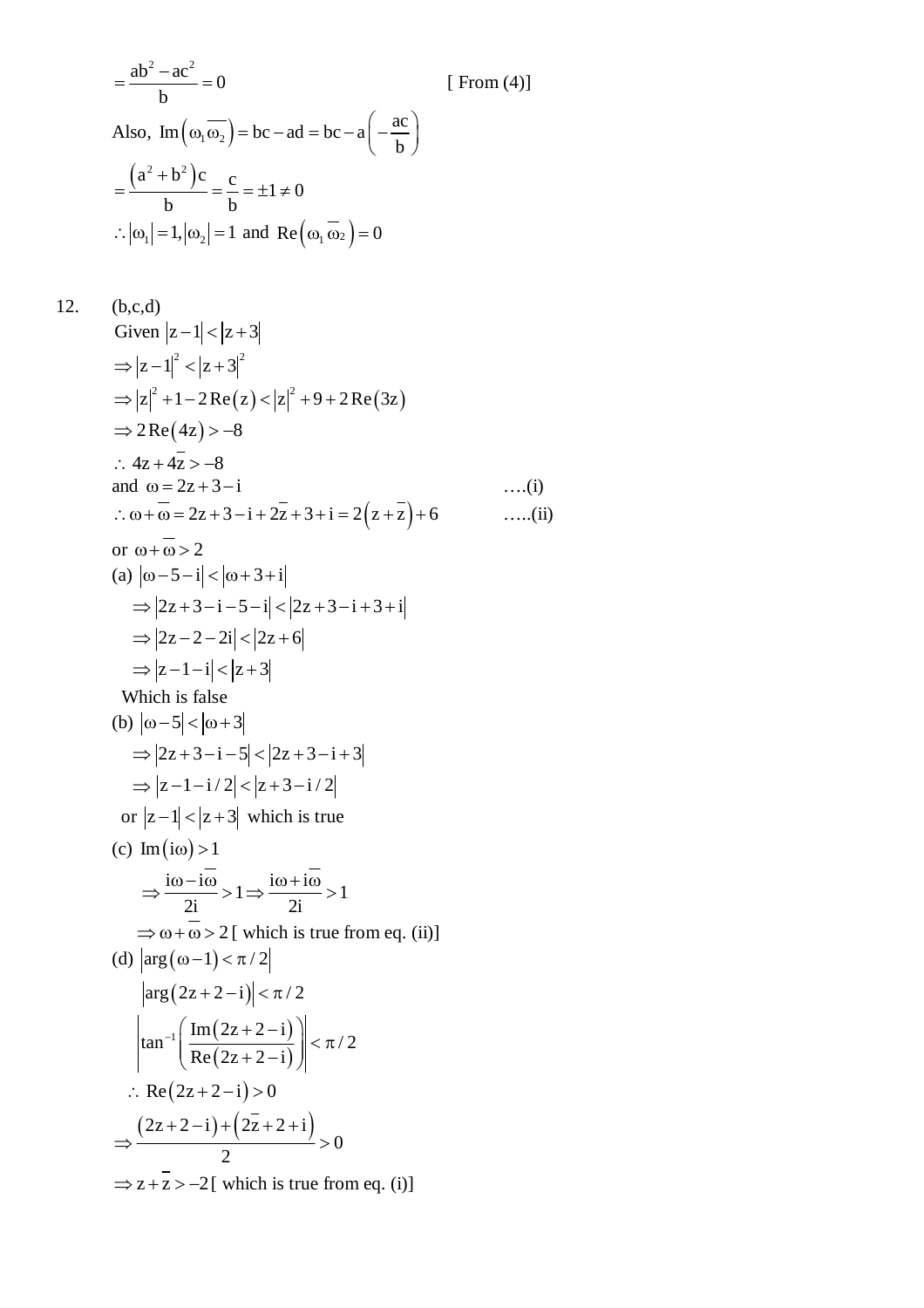$$
= \frac{ab^{2} - ac^{2}}{b} = 0
$$
 [From (4)]  
Also, Im $(\omega_{1}\overline{\omega_{2}})$  = bc - ad = bc - a $(-\frac{ac}{b})$   

$$
= \frac{(a^{2} + b^{2})c}{b} = \frac{c}{b} = \pm 1 \neq 0
$$
  

$$
\therefore |\omega_{1}| = 1, |\omega_{2}| = 1 \text{ and } \text{Re}(\omega_{1}\overline{\omega_{2}}) = 0
$$

12. (b,c,d)  
\nGiven 
$$
|z-1| < |z+3|
$$
  
\n⇒  $|z-1|^2 < |z+3|^2$   
\n⇒  $|z|^2 + 1 - 2Re(z) < |z|^2 + 9 + 2Re(3z)$   
\n⇒  $2Re(4z) > -8$   
\n∴  $4z + 4z > -8$   
\nand  $\omega = 2z + 3 - i$  ....(i)  
\n∴  $\omega + \omega = 2z + 3 - i + 2z + 3 + i = 2(z + \overline{z}) + 6$  ....(ii)  
\nor  $\omega + \overline{\omega} > 2$   
\n(a)  $|\omega - 5 - i| < |\omega + 3 + i|$   
\n⇒  $|2z + 3 - i - 5 - i| < |2z + 3 - i + 3 + i|$   
\n⇒  $|2z - 2 - 2i| < |2z + 6|$   
\n⇒  $|z - 1 - i| < |z + 3|$   
\nWhich is false  
\n(b)  $|\omega - 5| < |\omega + 3|$   
\n⇒  $|2z + 3 - i - 5| < |2z + 3 - i + 3|$   
\n⇒  $|z - 1 - i/2| < |z + 3 - i/2|$   
\nor  $|z - 1| < |z + 3|$  which is true  
\n(c) Im( $i\omega$ ) > 1  
\n⇒  $\frac{i\omega - i\overline{\omega}}{2i} > 1$  ⇒  $\frac{i\omega + i\overline{\omega}}{2i} > 1$   
\n⇒  $\omega + \overline{\omega} > 2$ [ which is true from eq. (ii)]  
\n(d)  $|arg(\omega - 1) < \pi/2|$   
\n $|arg(2z + 2 - i)| < \pi/2$   
\n $\therefore Re(2z + 2 - i) = 0$   
\n∴  $\frac{(2z + 2 - i) + (2\overline{z} + 2 - i)}{2} > 0$   
\n⇒  $z + \overline{z} > -2$ [ which is true from eq. (i)]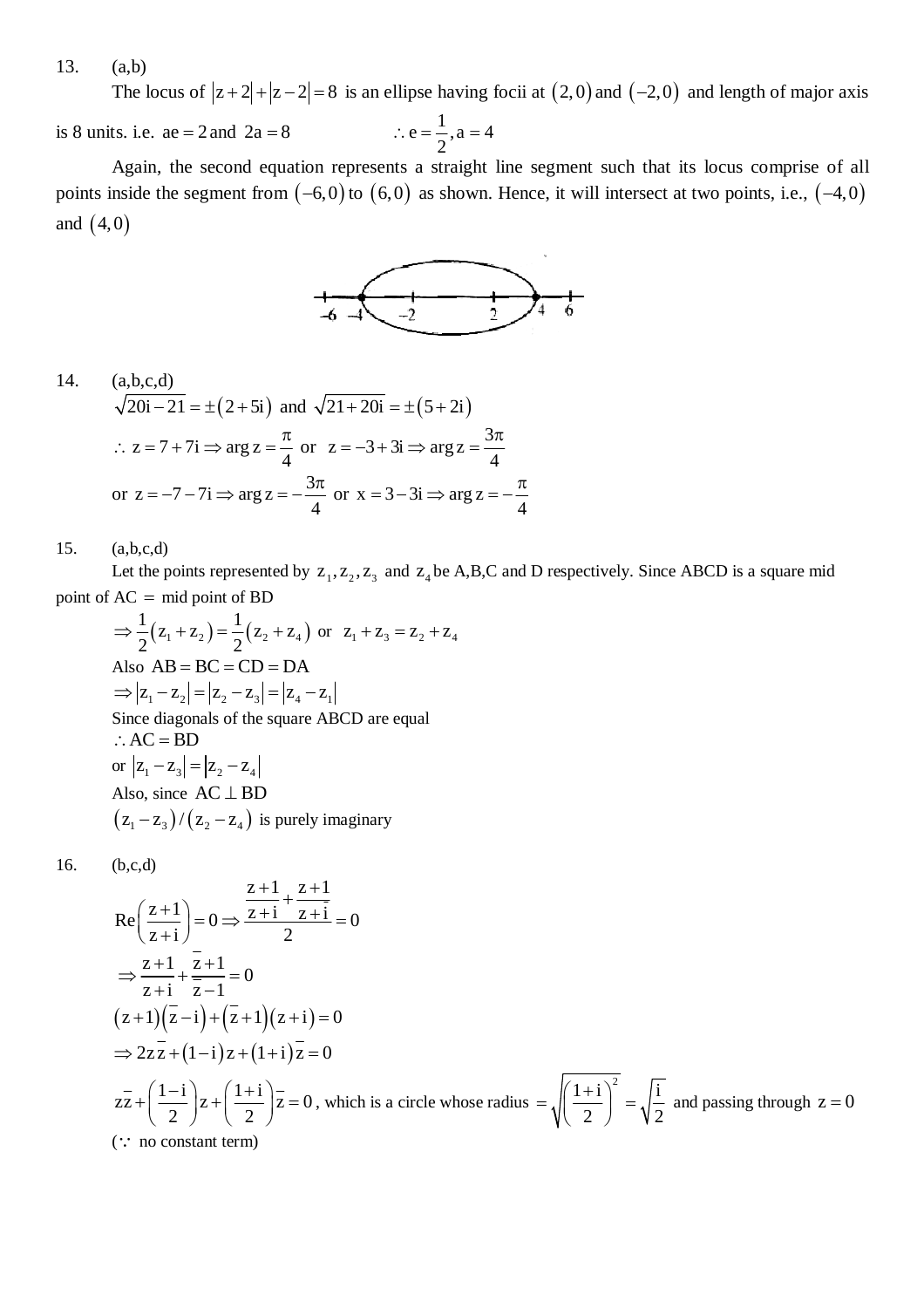13. (a,b)

The locus of  $|z + 2| + |z - 2| = 8$  is an ellipse having focii at  $(2, 0)$  and  $(-2, 0)$  and length of major axis

is 8 units. i.e.  $ae = 2$  and  $2a = 8$  $e = \frac{1}{2}, a = 4$ 2  $\therefore$  e =  $\frac{1}{2}$ , a = 4

Again, the second equation represents a straight line segment such that its locus comprise of all points inside the segment from  $(-6,0)$  to  $(6,0)$  as shown. Hence, it will intersect at two points, i.e.,  $(-4,0)$ and  $(4, 0)$ 



14. (a,b,c,d)  
\n
$$
\sqrt{20i-21} = \pm (2+5i)
$$
 and  $\sqrt{21+20i} = \pm (5+2i)$   
\n $\therefore z = 7+7i \Rightarrow \arg z = \frac{\pi}{4}$  or  $z = -3+3i \Rightarrow \arg z = \frac{3\pi}{4}$   
\nor  $z = -7-7i \Rightarrow \arg z = -\frac{3\pi}{4}$  or  $x = 3-3i \Rightarrow \arg z = -\frac{\pi}{4}$ 

15. (a,b,c,d)

Let the points represented by  $z_1, z_2, z_3$  and  $z_4$  be A,B,C and D respectively. Since ABCD is a square mid point of  $AC = mid point of BD$ 

$$
\Rightarrow \frac{1}{2}(z_1 + z_2) = \frac{1}{2}(z_2 + z_4) \text{ or } z_1 + z_3 = z_2 + z_4
$$
  
Also AB = BC = CD = DA  

$$
\Rightarrow |z_1 - z_2| = |z_2 - z_3| = |z_4 - z_1|
$$
  
Since diagonals of the square ABCD are equal  
:. AC = BD  
or  $|z_1 - z_3| = |z_2 - z_4|$   
Also, since AC  $\perp$  BD  
 $(z_1 - z_3)/(z_2 - z_4)$  is purely imaginary

16. (b,c,d)

$$
Re\left(\frac{z+1}{z+i}\right) = 0 \Rightarrow \frac{\overline{z+1} + \overline{z+1}}{2} = 0
$$
  
\n
$$
\Rightarrow \frac{z+1}{z+i} + \frac{\overline{z+1}}{\overline{z-1}} = 0
$$
  
\n
$$
(z+1)(\overline{z}-i) + (\overline{z}+1)(z+i) = 0
$$
  
\n
$$
\Rightarrow 2z\overline{z} + (1-i)z + (1+i)\overline{z} = 0
$$
  
\n
$$
\overline{z} + \left(\frac{1-i}{2}\right)z + \left(\frac{1+i}{2}\right)\overline{z} = 0
$$
, which is a circle whose radius  $= \sqrt{\left(\frac{1+i}{2}\right)^2} = \sqrt{\frac{i}{2}}$  and passing through  $z = 0$   
\n(:: no constant term)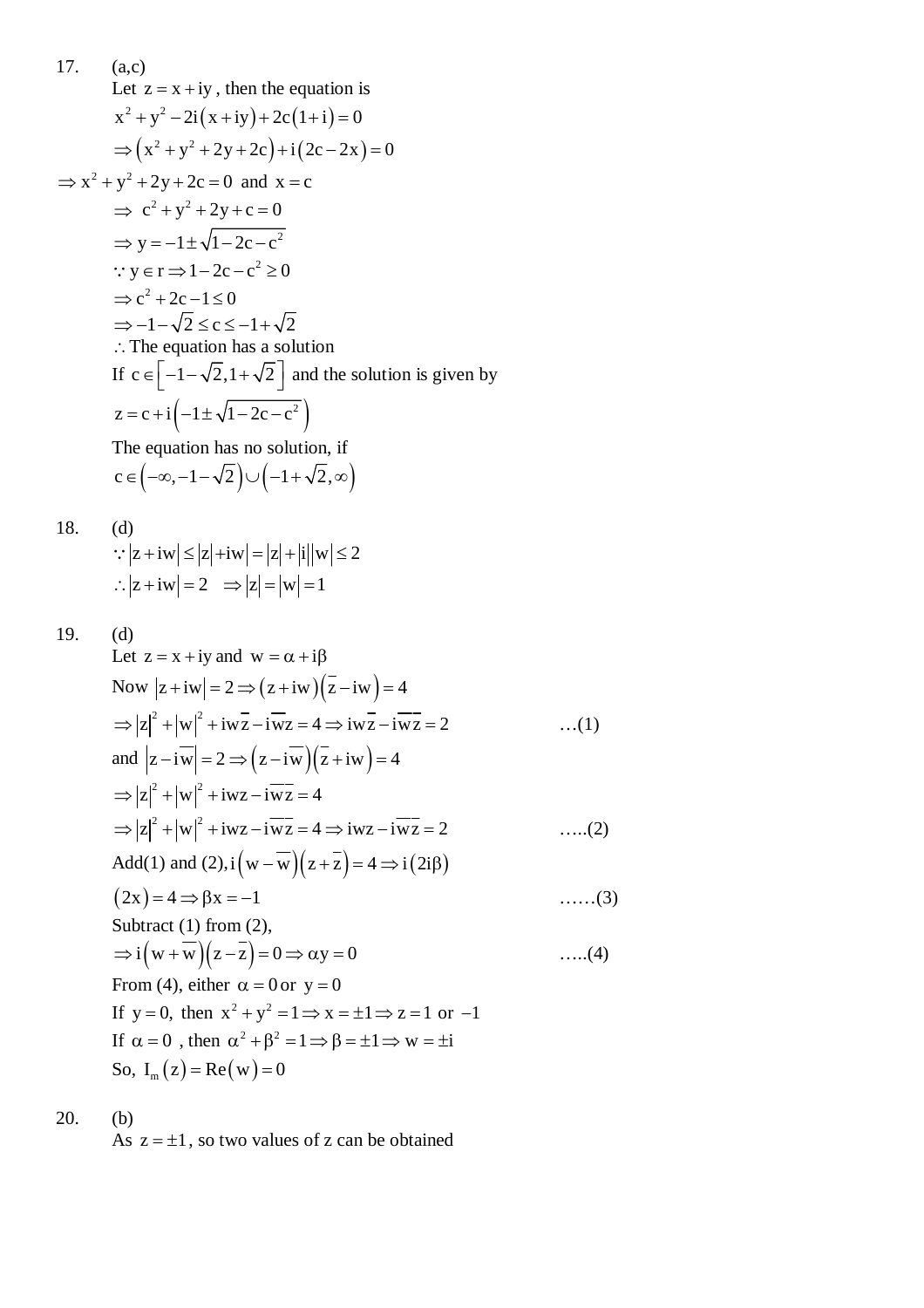17. (a,c)  
\nLet 
$$
z = x + iy
$$
, then the equation is  
\n $x^2 + y^2 - 2i(x + iy) + 2c(1 + i) = 0$   
\n $\Rightarrow (x^2 + y^2 + 2y + 2c) + i(2c - 2x) = 0$   
\n $\Rightarrow x^2 + y^2 + 2y + 2c = 0$  and  $x = c$   
\n $\Rightarrow c^2 + y^2 + 2y + c = 0$   
\n $\Rightarrow y = -1 \pm \sqrt{1 - 2c - c^2}$   
\n $\therefore y \in r \Rightarrow 1 - 2c - c^2 \ge 0$   
\n $\Rightarrow c^2 + 2c - 1 \le 0$   
\n $\Rightarrow -1 - \sqrt{2} \le c \le -1 + \sqrt{2}$   
\n $\therefore$  The equation has a solution  
\nIf  $c \in [-1 - \sqrt{2}, 1 + \sqrt{2}]$  and the solution is given by  
\n $z = c + i(-1 \pm \sqrt{1 - 2c - c^2})$   
\nThe equation has no solution, if

 $c \in (-\infty, -1-\sqrt{2}) \cup (-1+\sqrt{2}, \infty)$ 

18. (d)  
\n
$$
\therefore |z + iw| \le |z| + iw| = |z| + |i||w| \le 2
$$
\n
$$
\therefore |z + iw| = 2 \implies |z| = |w| = 1
$$

19. (d)  
\nLet 
$$
z = x + iy
$$
 and  $w = \alpha + i\beta$   
\nNow  $|z + iw| = 2 \Rightarrow (z + iw)(\overline{z} - iw) = 4$   
\n $\Rightarrow |z|^2 + |w|^2 + iw\overline{z} - iw\overline{z} = 4 \Rightarrow iw\overline{z} - iw\overline{z} = 2$  ...(1)  
\nand  $|z - iw| = 2 \Rightarrow (z - iw)(\overline{z} + iw) = 4$   
\n $\Rightarrow |z|^2 + |w|^2 + iw\overline{z} - iw\overline{z} = 4$   
\n $\Rightarrow |z|^2 + |w|^2 + iw\overline{z} - iw\overline{z} = 4 \Rightarrow iw\overline{z} - iw\overline{z} = 2$  ....(2)  
\nAdd(1) and (2),  $i(w - \overline{w})(z + \overline{z}) = 4 \Rightarrow i(2i\beta)$   
\n $(2x) = 4 \Rightarrow \beta x = -1$  ....(3)  
\nSubtract (1) from (2),  
\n $\Rightarrow i(w + \overline{w})(z - \overline{z}) = 0 \Rightarrow \alpha y = 0$  ....(4)  
\nFrom (4), either  $\alpha = 0$  or  $y = 0$   
\nIf  $y = 0$ , then  $x^2 + y^2 = 1 \Rightarrow x = \pm 1 \Rightarrow z = 1$  or -1  
\nIf  $\alpha = 0$ , then  $\alpha^2 + \beta^2 = 1 \Rightarrow \beta = \pm 1 \Rightarrow w = \pm i$   
\nSo,  $I_m(z) = \text{Re}(w) = 0$ 

20. (b)

As  $z = \pm 1$ , so two values of z can be obtained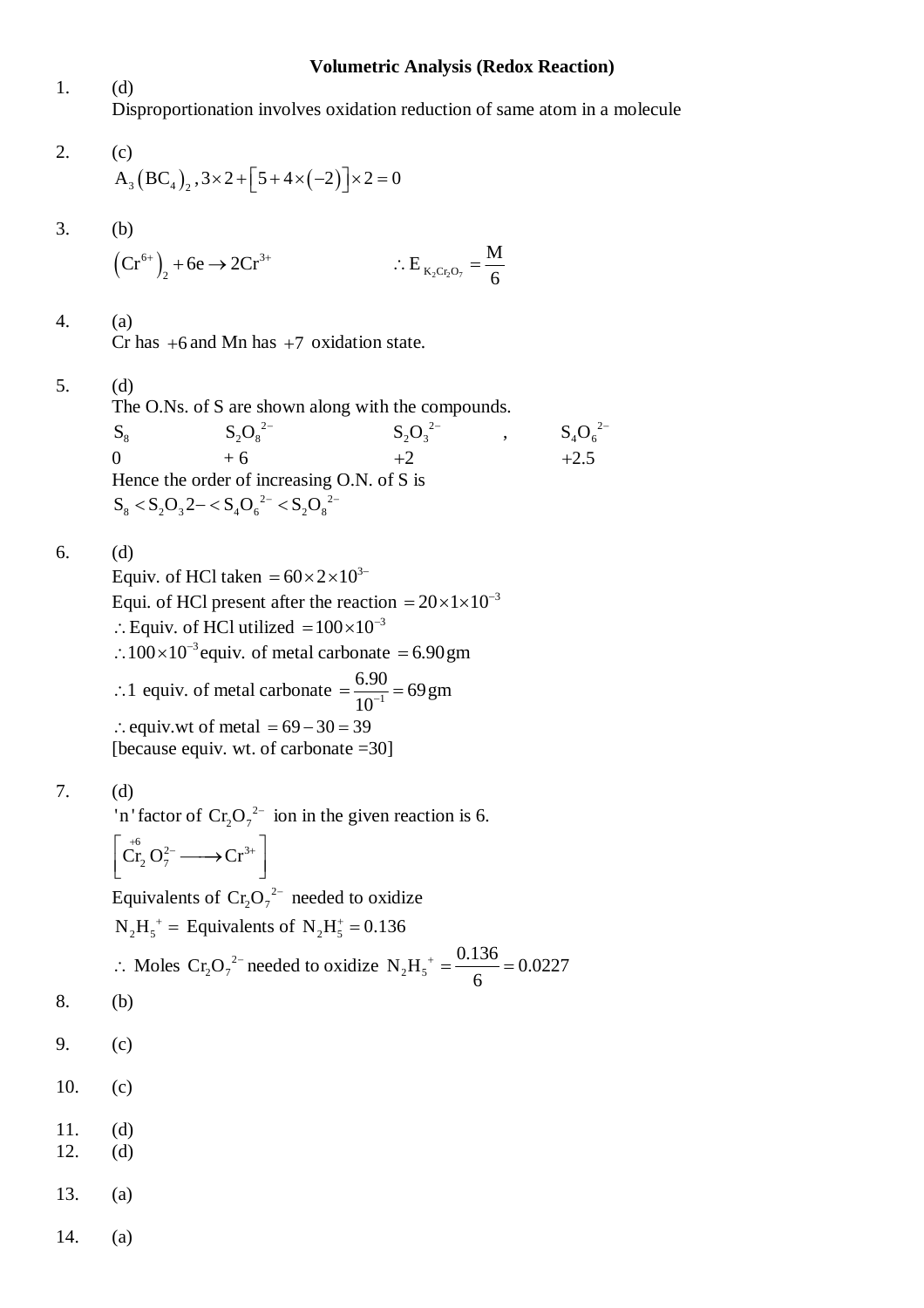#### **Volumetric Analysis (Redox Reaction)**

1. (d) Disproportionation involves oxidation reduction of same atom in a molecule

2. (c)  
\n
$$
A_3 (BC_4)_2, 3 \times 2 + [5 + 4 \times (-2)] \times 2 = 0
$$

3. (b)

$$
\left(\mathbf{C} \mathbf{r}^{6+}\right)_2 + 6\mathbf{e} \to 2\mathbf{C} \mathbf{r}^{3+} \qquad \qquad \therefore \mathbf{E}_{\mathbf{K}_2 \mathbf{C} \mathbf{r}_2 \mathbf{O}_7} = \frac{\mathbf{M}}{6}
$$

4. (a)

Cr has  $+6$  and Mn has  $+7$  oxidation state.

5. (d)

The O.Ns. of S are shown along with the compounds.  $S_8$  $S_2O_8^{-2}$  $S_2O_3^{2-}$ ,  $S_4O_6^{2-}$ 0 + 6 + 2 + 2.5 Hence the order of increasing O.N. of S is  $S_8 < S_2O_3^2 - S_4O_6^{2-} < S_2O_8^{2-}$ 

6. (d)

Equiv. of HCl taken  $= 60 \times 2 \times 10^{3-1}$ Equi. of HCl present after the reaction  $= 20 \times 1 \times 10^{-3}$  $\therefore$  Equiv. of HCl utilized =  $100 \times 10^{-3}$  $\therefore 100 \times 10^{-3}$  equiv. of metal carbonate = 6.90 gm : 1 equiv. of metal carbonate  $=$   $\frac{6.90}{10^{-1}}$  = 69 gm  $=\frac{0.56}{10^{-1}}=6$  $\therefore$  equiv.wt of metal = 69 - 30 = 39 [because equiv. wt. of carbonate =30]

$$
7. \hspace{20pt} (d)
$$

'n 'factor of  $Cr_2O_7^{2-}$  ion in the given reaction is 6.

$$
\left[\stackrel{+6}{\text{Cr}}_2\text{O}_7^{2-}\longrightarrow\stackrel{ }{\text{Cr}}^{3+}\right]
$$

Equivalents of  $Cr_2O_7^{2}$  needed to oxidize

 $N_2H_5^+$  = Equivalents of  $N_2H_5^+$  = 0.136

:. Moles Cr<sub>2</sub>O<sub>7</sub><sup>2-</sup> needed to oxidative N<sub>2</sub>H<sub>5</sub><sup>+</sup> = 
$$
\frac{0.136}{6}
$$
 = 0.0227

- 8. (b)
- 9. (c)
- 10. (c)
- 11. (d)
- 12. (d)
- 13. (a)
- 14. (a)